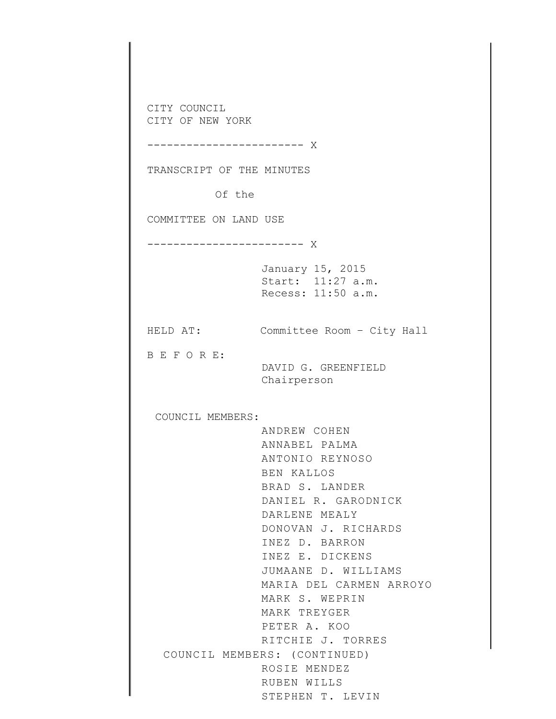CITY COUNCIL CITY OF NEW YORK ------------------------ X TRANSCRIPT OF THE MINUTES Of the COMMITTEE ON LAND USE ------------------------ X January 15, 2015 Start: 11:27 a.m. Recess: 11:50 a.m. HELD AT: Committee Room – City Hall B E F O R E: DAVID G. GREENFIELD Chairperson COUNCIL MEMBERS: ANDREW COHEN ANNABEL PALMA ANTONIO REYNOSO BEN KALLOS BRAD S. LANDER DANIEL R. GARODNICK DARLENE MEALY DONOVAN J. RICHARDS INEZ D. BARRON INEZ E. DICKENS JUMAANE D. WILLIAMS MARIA DEL CARMEN ARROYO MARK S. WEPRIN MARK TREYGER PETER A. KOO RITCHIE J. TORRES COUNCIL MEMBERS: (CONTINUED) ROSIE MENDEZ RUBEN WILLS STEPHEN T. LEVIN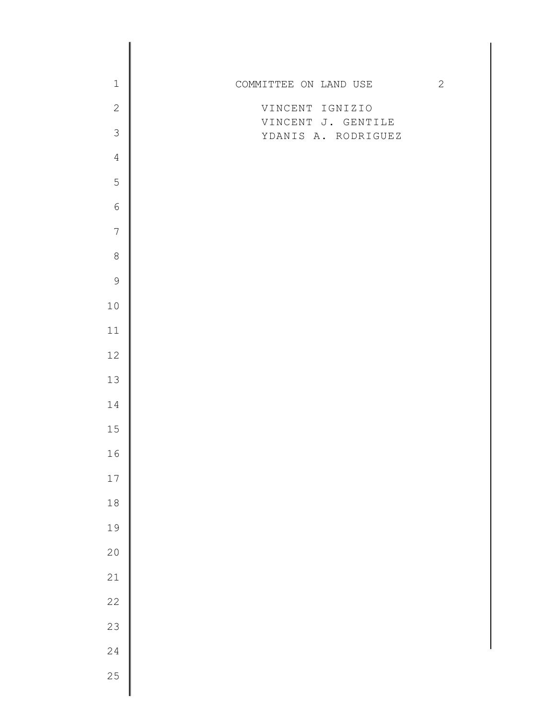| $\mathbf 1$      | COMMITTEE ON LAND USE                     | $\overline{2}$ |
|------------------|-------------------------------------------|----------------|
| $\sqrt{2}$       | VINCENT IGNIZIO                           |                |
| $\mathfrak{Z}$   | VINCENT J. GENTILE<br>YDANIS A. RODRIGUEZ |                |
| $\overline{4}$   |                                           |                |
| 5                |                                           |                |
| $\epsilon$       |                                           |                |
| $\boldsymbol{7}$ |                                           |                |
| $\,8\,$          |                                           |                |
| $\mathsf 9$      |                                           |                |
| $10$             |                                           |                |
| $11\,$           |                                           |                |
| $12\,$           |                                           |                |
| 13               |                                           |                |
| 14               |                                           |                |
| $1\,5$           |                                           |                |
| 16               |                                           |                |
| $17\,$           |                                           |                |
| $1\,8$           |                                           |                |
| 19               |                                           |                |
| $20$             |                                           |                |
| $21$             |                                           |                |
| 22               |                                           |                |
| 23               |                                           |                |
| 24               |                                           |                |
| 25               |                                           |                |
|                  | II                                        |                |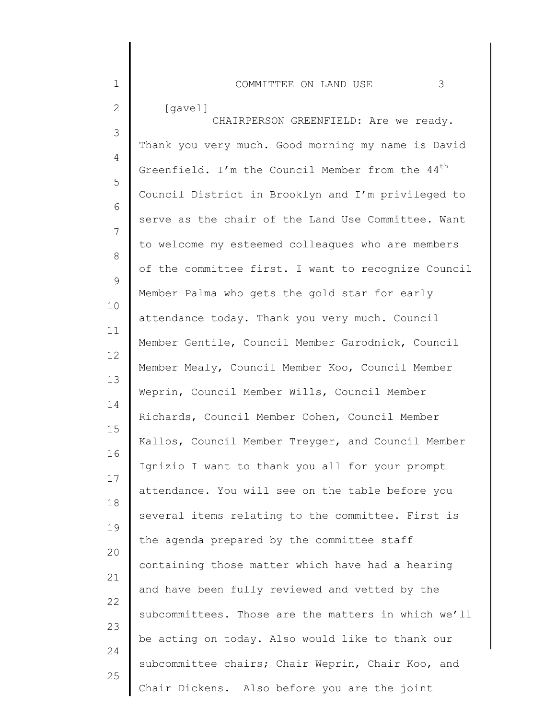| $\mathbf 1$    | 3<br>COMMITTEE ON LAND USE                                   |
|----------------|--------------------------------------------------------------|
| $\mathbf{2}$   | [gavel]                                                      |
| 3              | CHAIRPERSON GREENFIELD: Are we ready.                        |
| $\overline{4}$ | Thank you very much. Good morning my name is David           |
| 5              | Greenfield. I'm the Council Member from the 44 <sup>th</sup> |
| 6              | Council District in Brooklyn and I'm privileged to           |
| 7              | serve as the chair of the Land Use Committee. Want           |
| 8              | to welcome my esteemed colleagues who are members            |
|                | of the committee first. I want to recognize Council          |
| 9              | Member Palma who gets the gold star for early                |
| 10             | attendance today. Thank you very much. Council               |
| 11             | Member Gentile, Council Member Garodnick, Council            |
| 12             | Member Mealy, Council Member Koo, Council Member             |
| 13<br>14       | Weprin, Council Member Wills, Council Member                 |
| 15             | Richards, Council Member Cohen, Council Member               |
| 16             | Kallos, Council Member Treyger, and Council Member           |
| 17             | Ignizio I want to thank you all for your prompt              |
| 18             | attendance. You will see on the table before you             |
|                | several items relating to the committee. First is            |
| 19             | the agenda prepared by the committee staff                   |
| 20             | containing those matter which have had a hearing             |
| 21             | and have been fully reviewed and vetted by the               |
| 22             | subcommittees. Those are the matters in which we'll          |
| 23             | be acting on today. Also would like to thank our             |
| 24             | subcommittee chairs; Chair Weprin, Chair Koo, and            |
| 25             | Chair Dickens. Also before you are the joint                 |
|                |                                                              |

∥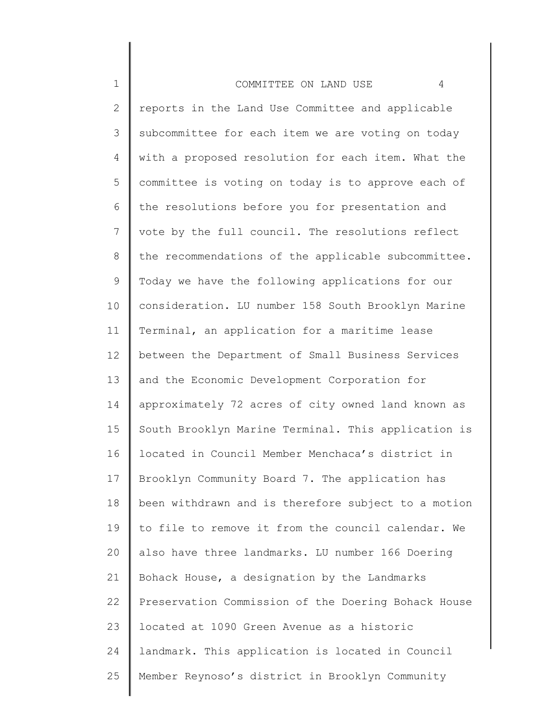| $\mathbf 1$ | $\overline{4}$<br>COMMITTEE ON LAND USE             |
|-------------|-----------------------------------------------------|
| 2           | reports in the Land Use Committee and applicable    |
| 3           | subcommittee for each item we are voting on today   |
| 4           | with a proposed resolution for each item. What the  |
| 5           | committee is voting on today is to approve each of  |
| 6           | the resolutions before you for presentation and     |
| 7           | vote by the full council. The resolutions reflect   |
| 8           | the recommendations of the applicable subcommittee. |
| 9           | Today we have the following applications for our    |
| 10          | consideration. LU number 158 South Brooklyn Marine  |
| 11          | Terminal, an application for a maritime lease       |
| 12          | between the Department of Small Business Services   |
| 13          | and the Economic Development Corporation for        |
| 14          | approximately 72 acres of city owned land known as  |
| 15          | South Brooklyn Marine Terminal. This application is |
| 16          | located in Council Member Menchaca's district in    |
| 17          | Brooklyn Community Board 7. The application has     |
| 18          | been withdrawn and is therefore subject to a motion |
| 19          | to file to remove it from the council calendar. We  |
| 20          | also have three landmarks. LU number 166 Doering    |
| 21          | Bohack House, a designation by the Landmarks        |
| 22          | Preservation Commission of the Doering Bohack House |
| 23          | located at 1090 Green Avenue as a historic          |
| 24          | landmark. This application is located in Council    |
| 25          | Member Reynoso's district in Brooklyn Community     |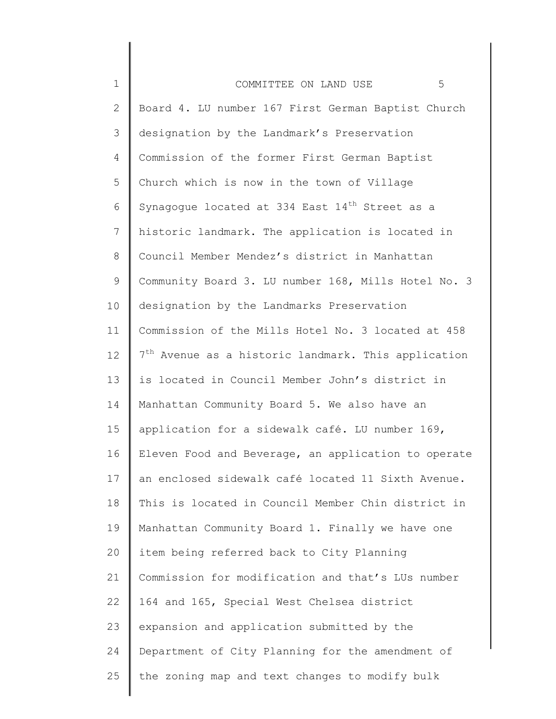| $\mathbf 1$    | 5<br>COMMITTEE ON LAND USE                                 |
|----------------|------------------------------------------------------------|
| $\overline{2}$ | Board 4. LU number 167 First German Baptist Church         |
| 3              | designation by the Landmark's Preservation                 |
| 4              | Commission of the former First German Baptist              |
| 5              | Church which is now in the town of Village                 |
| 6              | Synagogue located at 334 East 14 <sup>th</sup> Street as a |
| 7              | historic landmark. The application is located in           |
| $\,8\,$        | Council Member Mendez's district in Manhattan              |
| $\mathsf 9$    | Community Board 3. LU number 168, Mills Hotel No. 3        |
| 10             | designation by the Landmarks Preservation                  |
| 11             | Commission of the Mills Hotel No. 3 located at 458         |
| 12             | $7th$ Avenue as a historic landmark. This application      |
| 13             | is located in Council Member John's district in            |
| 14             | Manhattan Community Board 5. We also have an               |
| 15             | application for a sidewalk café. LU number 169,            |
| 16             | Eleven Food and Beverage, an application to operate        |
| 17             | an enclosed sidewalk café located 11 Sixth Avenue.         |
| 18             | This is located in Council Member Chin district in         |
| 19             | Manhattan Community Board 1. Finally we have one           |
| 20             | item being referred back to City Planning                  |
| 21             | Commission for modification and that's LUs number          |
| 22             | 164 and 165, Special West Chelsea district                 |
| 23             | expansion and application submitted by the                 |
| 24             | Department of City Planning for the amendment of           |
| 25             | the zoning map and text changes to modify bulk             |
|                |                                                            |

∥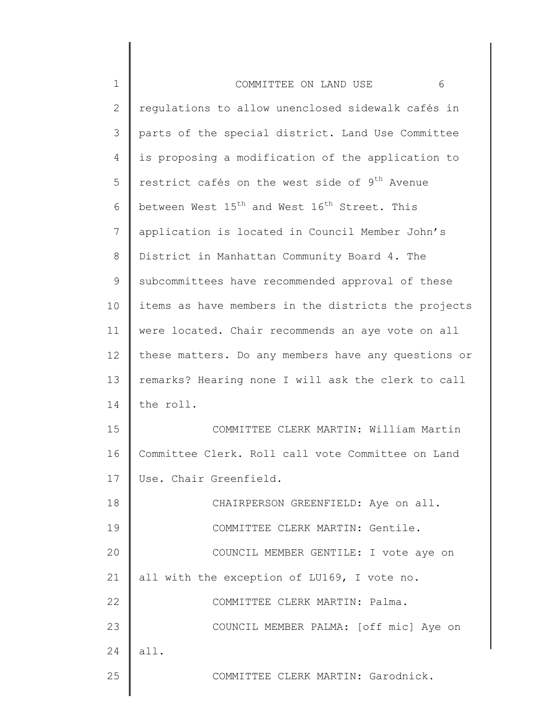| $\mathbf 1$    | 6<br>COMMITTEE ON LAND USE                                           |
|----------------|----------------------------------------------------------------------|
| $\mathbf{2}$   | regulations to allow unenclosed sidewalk cafés in                    |
| 3              | parts of the special district. Land Use Committee                    |
| $\overline{4}$ | is proposing a modification of the application to                    |
| 5              | restrict cafés on the west side of 9 <sup>th</sup> Avenue            |
| 6              | between West 15 <sup>th</sup> and West 16 <sup>th</sup> Street. This |
| $\overline{7}$ | application is located in Council Member John's                      |
| $\,8\,$        | District in Manhattan Community Board 4. The                         |
| $\mathsf 9$    | subcommittees have recommended approval of these                     |
| 10             | items as have members in the districts the projects                  |
| 11             | were located. Chair recommends an aye vote on all                    |
| 12             | these matters. Do any members have any questions or                  |
| 13             | remarks? Hearing none I will ask the clerk to call                   |
| 14             | the roll.                                                            |
| 15             | COMMITTEE CLERK MARTIN: William Martin                               |
| 16             | Committee Clerk. Roll call vote Committee on Land                    |
| 17             | Use. Chair Greenfield.                                               |
| 18             | CHAIRPERSON GREENFIELD: Aye on all.                                  |
| 19             | COMMITTEE CLERK MARTIN: Gentile.                                     |
| 20             | COUNCIL MEMBER GENTILE: I vote aye on                                |
| 21             | all with the exception of LU169, I vote no.                          |
| 22             | COMMITTEE CLERK MARTIN: Palma.                                       |
| 23             | COUNCIL MEMBER PALMA: [off mic] Aye on                               |
| 24             | all.                                                                 |
| 25             | COMMITTEE CLERK MARTIN: Garodnick.                                   |
|                |                                                                      |

║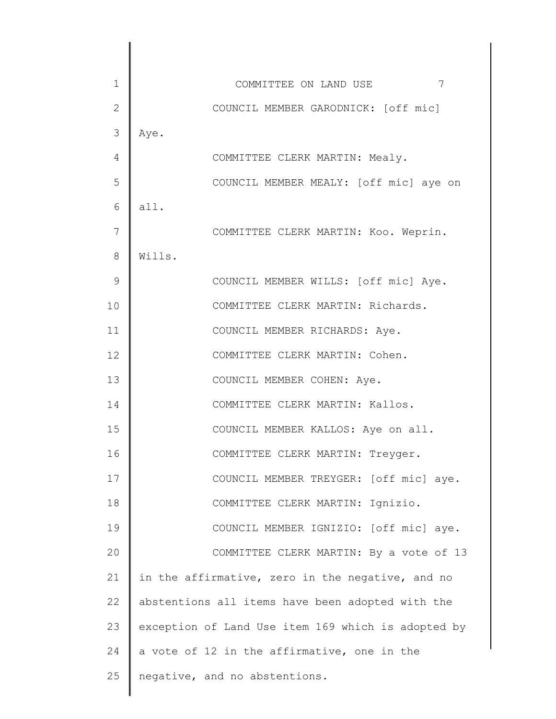| $\mathbf 1$    | 7<br>COMMITTEE ON LAND USE                         |
|----------------|----------------------------------------------------|
| $\mathbf{2}$   | COUNCIL MEMBER GARODNICK: [off mic]                |
| 3              | Aye.                                               |
| $\overline{4}$ | COMMITTEE CLERK MARTIN: Mealy.                     |
| 5              | COUNCIL MEMBER MEALY: [off mic] aye on             |
| 6              | all.                                               |
| 7              | COMMITTEE CLERK MARTIN: Koo. Weprin.               |
| 8              | Wills.                                             |
| $\mathcal{G}$  | COUNCIL MEMBER WILLS: [off mic] Aye.               |
| 10             | COMMITTEE CLERK MARTIN: Richards.                  |
| 11             | COUNCIL MEMBER RICHARDS: Aye.                      |
| 12             | COMMITTEE CLERK MARTIN: Cohen.                     |
| 13             | COUNCIL MEMBER COHEN: Aye.                         |
| 14             | COMMITTEE CLERK MARTIN: Kallos.                    |
| 15             | COUNCIL MEMBER KALLOS: Aye on all.                 |
| 16             | COMMITTEE CLERK MARTIN: Treyger.                   |
| 17             | COUNCIL MEMBER TREYGER: [off mic] aye.             |
| 18             | COMMITTEE CLERK MARTIN: Ignizio.                   |
| 19             | COUNCIL MEMBER IGNIZIO: [off mic] aye.             |
| 20             | COMMITTEE CLERK MARTIN: By a vote of 13            |
| 21             | in the affirmative, zero in the negative, and no   |
| 22             | abstentions all items have been adopted with the   |
| 23             | exception of Land Use item 169 which is adopted by |
| 24             | a vote of 12 in the affirmative, one in the        |
| 25             | negative, and no abstentions.                      |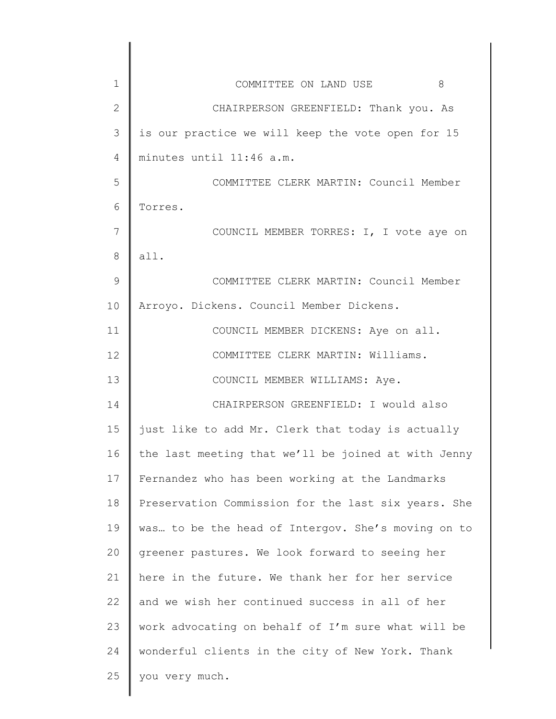| $\mathbf 1$  | - 8<br>COMMITTEE ON LAND USE                        |
|--------------|-----------------------------------------------------|
| $\mathbf{2}$ | CHAIRPERSON GREENFIELD: Thank you. As               |
| 3            | is our practice we will keep the vote open for 15   |
| 4            | minutes until 11:46 a.m.                            |
| 5            | COMMITTEE CLERK MARTIN: Council Member              |
| 6            | Torres.                                             |
| 7            | COUNCIL MEMBER TORRES: I, I vote aye on             |
| 8            | all.                                                |
| 9            | COMMITTEE CLERK MARTIN: Council Member              |
| 10           | Arroyo. Dickens. Council Member Dickens.            |
| 11           | COUNCIL MEMBER DICKENS: Aye on all.                 |
| 12           | COMMITTEE CLERK MARTIN: Williams.                   |
| 13           | COUNCIL MEMBER WILLIAMS: Aye.                       |
| 14           | CHAIRPERSON GREENFIELD: I would also                |
| 15           | just like to add Mr. Clerk that today is actually   |
| 16           | the last meeting that we'll be joined at with Jenny |
| 17           | Fernandez who has been working at the Landmarks     |
| 18           | Preservation Commission for the last six years. She |
| 19           | was to be the head of Intergov. She's moving on to  |
| 20           | greener pastures. We look forward to seeing her     |
| 21           | here in the future. We thank her for her service    |
| 22           | and we wish her continued success in all of her     |
| 23           | work advocating on behalf of I'm sure what will be  |
| 24           | wonderful clients in the city of New York. Thank    |
| 25           | you very much.                                      |
|              |                                                     |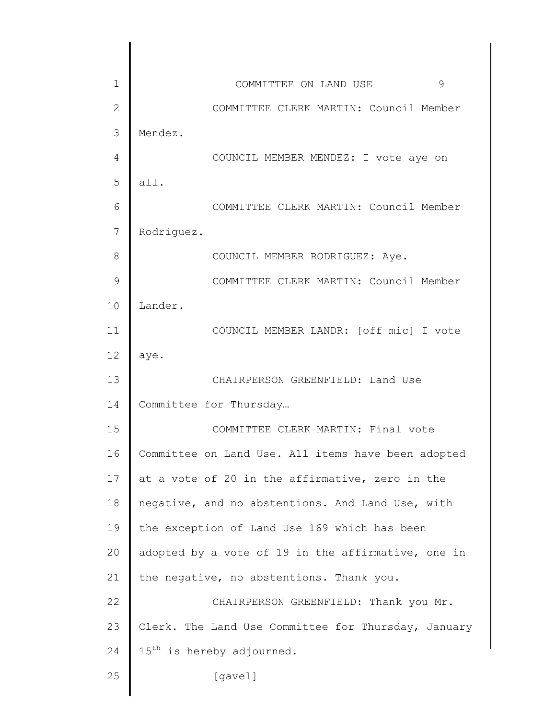| $\mathbf 1$  | 9<br>COMMITTEE ON LAND USE                          |
|--------------|-----------------------------------------------------|
| $\mathbf{2}$ | COMMITTEE CLERK MARTIN: Council Member              |
| 3            | Mendez.                                             |
| 4            | COUNCIL MEMBER MENDEZ: I vote aye on                |
| 5            | all.                                                |
| 6            | COMMITTEE CLERK MARTIN: Council Member              |
| 7            | Rodriguez.                                          |
| 8            | COUNCIL MEMBER RODRIGUEZ: Aye.                      |
| 9            | COMMITTEE CLERK MARTIN: Council Member              |
| 10           | Lander.                                             |
| 11           | COUNCIL MEMBER LANDR: [off mic] I vote              |
| 12           | aye.                                                |
| 13           | CHAIRPERSON GREENFIELD: Land Use                    |
| 14           | Committee for Thursday                              |
| 15           | COMMITTEE CLERK MARTIN: Final vote                  |
| 16           | Committee on Land Use. All items have been adopted  |
| 17           | at a vote of 20 in the affirmative, zero in the     |
| 18           | negative, and no abstentions. And Land Use, with    |
| 19           | the exception of Land Use 169 which has been        |
| 20           | adopted by a vote of 19 in the affirmative, one in  |
| 21           | the negative, no abstentions. Thank you.            |
| 22           | CHAIRPERSON GREENFIELD: Thank you Mr.               |
| 23           | Clerk. The Land Use Committee for Thursday, January |
| 24           | 15 <sup>th</sup> is hereby adjourned.               |
| 25           | [gavel]                                             |
|              |                                                     |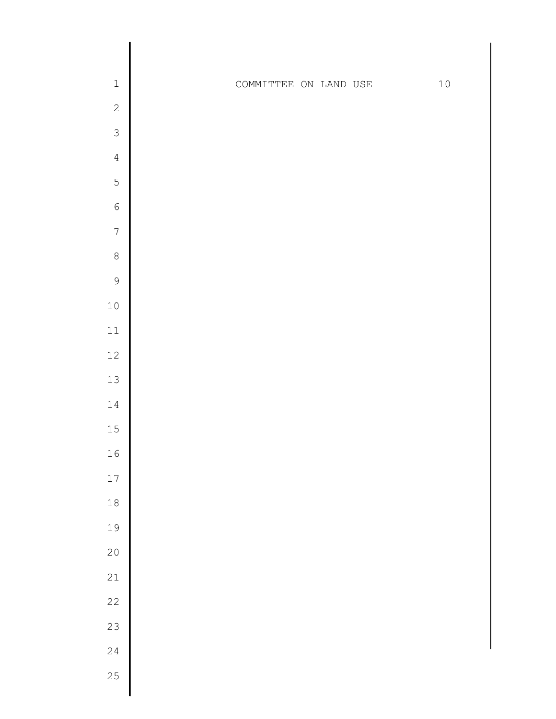| $\mathbf{1}$   |  | COMMITTEE ON LAND USE |  |  |
|----------------|--|-----------------------|--|--|
| $\overline{c}$ |  |                       |  |  |
| $\overline{3}$ |  |                       |  |  |
| $\overline{4}$ |  |                       |  |  |
| $\overline{5}$ |  |                       |  |  |
| $\overline{6}$ |  |                       |  |  |
| $\overline{7}$ |  |                       |  |  |
| 8              |  |                       |  |  |
| $\overline{9}$ |  |                       |  |  |
| $10$           |  |                       |  |  |
| $11\,$         |  |                       |  |  |
| $12\,$         |  |                       |  |  |
| $13\,$         |  |                       |  |  |
| $1\,4$         |  |                       |  |  |
| 15             |  |                       |  |  |
| 16             |  |                       |  |  |
| $17\,$         |  |                       |  |  |
| $1\,8$         |  |                       |  |  |
| 19             |  |                       |  |  |
| 20             |  |                       |  |  |
| 21             |  |                       |  |  |
| $2\sqrt{2}$    |  |                       |  |  |
| 23             |  |                       |  |  |
| 24             |  |                       |  |  |
| 25             |  |                       |  |  |